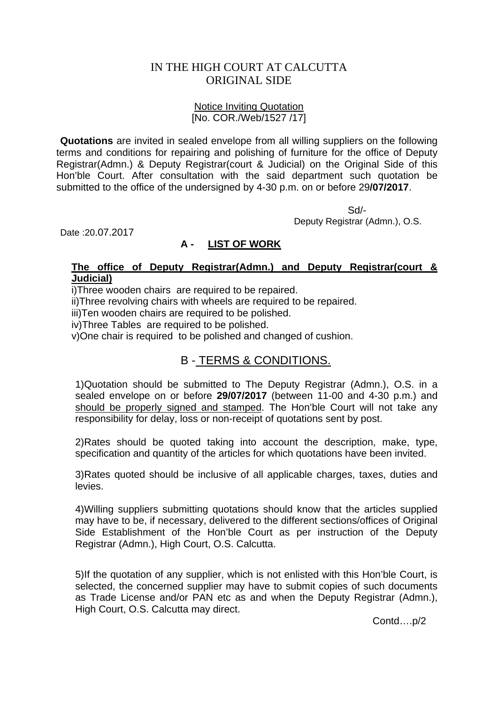## IN THE HIGH COURT AT CALCUTTA ORIGINAL SIDE

#### Notice Inviting Quotation [No. COR./Web/1527 /17]

**Quotations** are invited in sealed envelope from all willing suppliers on the following terms and conditions for repairing and polishing of furniture for the office of Deputy Registrar(Admn.) & Deputy Registrar(court & Judicial) on the Original Side of this Hon'ble Court. After consultation with the said department such quotation be submitted to the office of the undersigned by 4-30 p.m. on or before 29**/07/2017**.

 Sd/- Deputy Registrar (Admn.), O.S.

Date :20.07.2017

### **A - LIST OF WORK**

#### **The office of Deputy Registrar(Admn.) and Deputy Registrar(court & Judicial)**

i)Three wooden chairs are required to be repaired.

ii)Three revolving chairs with wheels are required to be repaired.

iii)Ten wooden chairs are required to be polished.

iv)Three Tables are required to be polished.

v)One chair is required to be polished and changed of cushion.

# B - TERMS & CONDITIONS.

1)Quotation should be submitted to The Deputy Registrar (Admn.), O.S. in a sealed envelope on or before **29/07/2017** (between 11-00 and 4-30 p.m.) and should be properly signed and stamped. The Hon'ble Court will not take any responsibility for delay, loss or non-receipt of quotations sent by post.

2)Rates should be quoted taking into account the description, make, type, specification and quantity of the articles for which quotations have been invited.

3)Rates quoted should be inclusive of all applicable charges, taxes, duties and levies.

4)Willing suppliers submitting quotations should know that the articles supplied may have to be, if necessary, delivered to the different sections/offices of Original Side Establishment of the Hon'ble Court as per instruction of the Deputy Registrar (Admn.), High Court, O.S. Calcutta.

5)If the quotation of any supplier, which is not enlisted with this Hon'ble Court, is selected, the concerned supplier may have to submit copies of such documents as Trade License and/or PAN etc as and when the Deputy Registrar (Admn.), High Court, O.S. Calcutta may direct.

Contd….p/2